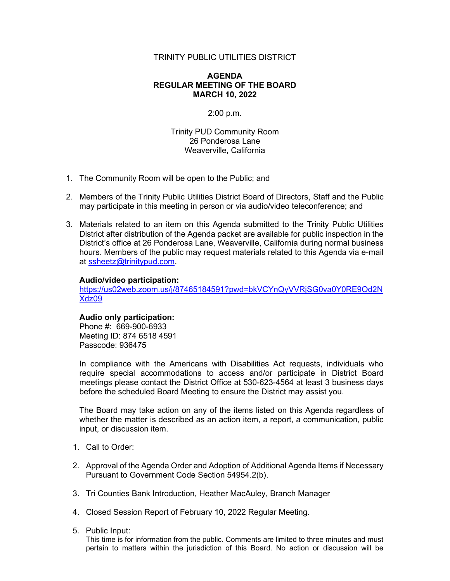## TRINITY PUBLIC UTILITIES DISTRICT

## **AGENDA REGULAR MEETING OF THE BOARD MARCH 10, 2022**

## 2:00 p.m.

Trinity PUD Community Room 26 Ponderosa Lane Weaverville, California

- 1. The Community Room will be open to the Public; and
- 2. Members of the Trinity Public Utilities District Board of Directors, Staff and the Public may participate in this meeting in person or via audio/video teleconference; and
- 3. Materials related to an item on this Agenda submitted to the Trinity Public Utilities District after distribution of the Agenda packet are available for public inspection in the District's office at 26 Ponderosa Lane, Weaverville, California during normal business hours. Members of the public may request materials related to this Agenda via e-mail at [ssheetz@trinitypud.com.](mailto:ssheetz@trinitypud.com)

#### **Audio/video participation:**

[https://us02web.zoom.us/j/87465184591?pwd=bkVCYnQyVVRjSG0va0Y0RE9Od2N](https://us02web.zoom.us/j/87465184591?pwd=bkVCYnQyVVRjSG0va0Y0RE9Od2NXdz09) [Xdz09](https://us02web.zoom.us/j/87465184591?pwd=bkVCYnQyVVRjSG0va0Y0RE9Od2NXdz09)

# **Audio only participation:**

Phone #: 669-900-6933 Meeting ID: 874 6518 4591 Passcode: 936475

In compliance with the Americans with Disabilities Act requests, individuals who require special accommodations to access and/or participate in District Board meetings please contact the District Office at 530-623-4564 at least 3 business days before the scheduled Board Meeting to ensure the District may assist you.

The Board may take action on any of the items listed on this Agenda regardless of whether the matter is described as an action item, a report, a communication, public input, or discussion item.

- 1. Call to Order:
- 2. Approval of the Agenda Order and Adoption of Additional Agenda Items if Necessary Pursuant to Government Code Section 54954.2(b).
- 3. Tri Counties Bank Introduction, Heather MacAuley, Branch Manager
- 4. Closed Session Report of February 10, 2022 Regular Meeting.

#### 5. Public Input:

This time is for information from the public. Comments are limited to three minutes and must pertain to matters within the jurisdiction of this Board. No action or discussion will be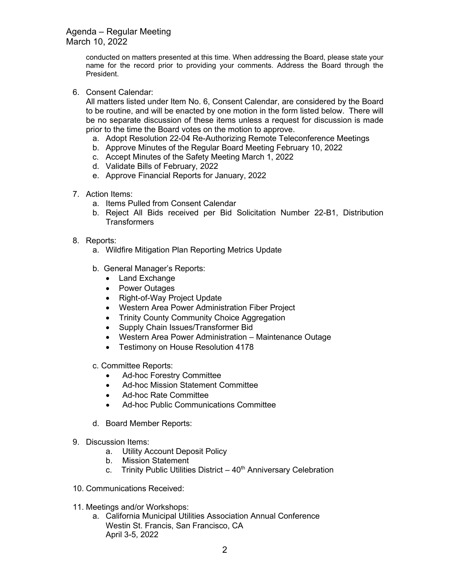Agenda – Regular Meeting March 10, 2022

> conducted on matters presented at this time. When addressing the Board, please state your name for the record prior to providing your comments. Address the Board through the President.

6. Consent Calendar:

All matters listed under Item No. 6, Consent Calendar, are considered by the Board to be routine, and will be enacted by one motion in the form listed below. There will be no separate discussion of these items unless a request for discussion is made prior to the time the Board votes on the motion to approve.

- a. Adopt Resolution 22-04 Re-Authorizing Remote Teleconference Meetings
- b. Approve Minutes of the Regular Board Meeting February 10, 2022
- c. Accept Minutes of the Safety Meeting March 1, 2022
- d. Validate Bills of February, 2022
- e. Approve Financial Reports for January, 2022
- 7. Action Items:
	- a. Items Pulled from Consent Calendar
	- b. Reject All Bids received per Bid Solicitation Number 22-B1, Distribution **Transformers**
- 8. Reports:
	- a. Wildfire Mitigation Plan Reporting Metrics Update
	- b. General Manager's Reports:
		- Land Exchange
		- Power Outages
		- Right-of-Way Project Update
		- Western Area Power Administration Fiber Project
		- Trinity County Community Choice Aggregation
		- Supply Chain Issues/Transformer Bid
		- Western Area Power Administration Maintenance Outage
		- Testimony on House Resolution 4178
	- c. Committee Reports:
		- Ad-hoc Forestry Committee
		- Ad-hoc Mission Statement Committee
		- Ad-hoc Rate Committee
		- Ad-hoc Public Communications Committee
	- d. Board Member Reports:
- 9. Discussion Items:
	- a. Utility Account Deposit Policy
	- b. Mission Statement
	- c. Trinity Public Utilities District  $-40<sup>th</sup>$  Anniversary Celebration
- 10. Communications Received:
- 11. Meetings and/or Workshops:
	- a. California Municipal Utilities Association Annual Conference Westin St. Francis, San Francisco, CA April 3-5, 2022